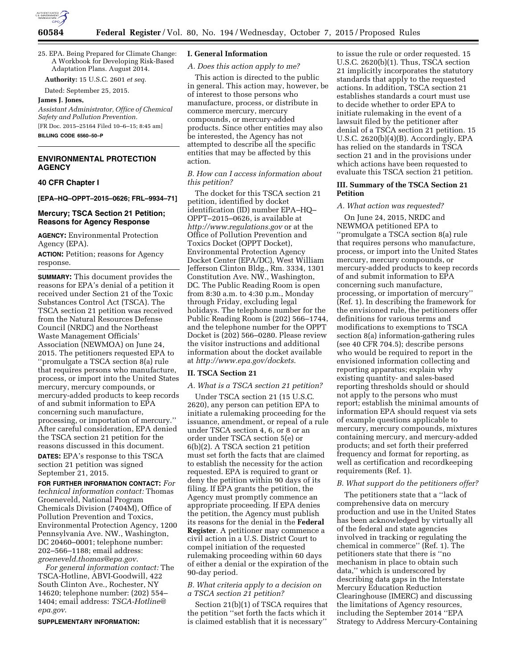

**Authority:** 15 U.S.C. 2601 *et seq.* 

Dated: September 25, 2015.

#### **James J. Jones,**

*Assistant Administrator, Office of Chemical Safety and Pollution Prevention.*  [FR Doc. 2015–25164 Filed 10–6–15; 8:45 am]

**BILLING CODE 6560–50–P** 

# **ENVIRONMENTAL PROTECTION AGENCY**

#### **40 CFR Chapter I**

**[EPA–HQ–OPPT–2015–0626; FRL–9934–71]** 

## **Mercury; TSCA Section 21 Petition; Reasons for Agency Response**

**AGENCY:** Environmental Protection Agency (EPA).

**ACTION:** Petition; reasons for Agency response.

**SUMMARY:** This document provides the reasons for EPA's denial of a petition it received under Section 21 of the Toxic Substances Control Act (TSCA). The TSCA section 21 petition was received from the Natural Resources Defense Council (NRDC) and the Northeast Waste Management Officials' Association (NEWMOA) on June 24, 2015. The petitioners requested EPA to ''promulgate a TSCA section 8(a) rule that requires persons who manufacture, process, or import into the United States mercury, mercury compounds, or mercury-added products to keep records of and submit information to EPA concerning such manufacture, processing, or importation of mercury.'' After careful consideration, EPA denied the TSCA section 21 petition for the reasons discussed in this document. **DATES:** EPA's response to this TSCA section 21 petition was signed

September 21, 2015. **FOR FURTHER INFORMATION CONTACT:** *For technical information contact:* Thomas Groeneveld, National Program Chemicals Division (7404M), Office of Pollution Prevention and Toxics, Environmental Protection Agency, 1200 Pennsylvania Ave. NW., Washington, DC 20460–0001; telephone number: 202–566–1188; email address: *[groeneveld.thomas@epa.gov](mailto:groeneveld.thomas@epa.gov)*.

*For general information contact:* The TSCA-Hotline, ABVI-Goodwill, 422 South Clinton Ave., Rochester, NY 14620; telephone number: (202) 554– 1404; email address: *[TSCA-Hotline@](mailto:TSCA-Hotline@epa.gov) [epa.gov](mailto:TSCA-Hotline@epa.gov)*.

**SUPPLEMENTARY INFORMATION:** 

#### **I. General Information**

#### *A. Does this action apply to me?*

This action is directed to the public in general. This action may, however, be of interest to those persons who manufacture, process, or distribute in commerce mercury, mercury compounds, or mercury-added products. Since other entities may also be interested, the Agency has not attempted to describe all the specific entities that may be affected by this action.

## *B. How can I access information about this petition?*

The docket for this TSCA section 21 petition, identified by docket identification (ID) number EPA–HQ– OPPT–2015–0626, is available at *<http://www.regulations.gov>* or at the Office of Pollution Prevention and Toxics Docket (OPPT Docket), Environmental Protection Agency Docket Center (EPA/DC), West William Jefferson Clinton Bldg., Rm. 3334, 1301 Constitution Ave. NW., Washington, DC. The Public Reading Room is open from 8:30 a.m. to 4:30 p.m., Monday through Friday, excluding legal holidays. The telephone number for the Public Reading Room is (202) 566–1744, and the telephone number for the OPPT Docket is (202) 566–0280. Please review the visitor instructions and additional information about the docket available at *<http://www.epa.gov/dockets>*.

#### **II. TSCA Section 21**

#### *A. What is a TSCA section 21 petition?*

Under TSCA section 21 (15 U.S.C. 2620), any person can petition EPA to initiate a rulemaking proceeding for the issuance, amendment, or repeal of a rule under TSCA section 4, 6, or 8 or an order under TSCA section 5(e) or 6(b)(2). A TSCA section 21 petition must set forth the facts that are claimed to establish the necessity for the action requested. EPA is required to grant or deny the petition within 90 days of its filing. If EPA grants the petition, the Agency must promptly commence an appropriate proceeding. If EPA denies the petition, the Agency must publish its reasons for the denial in the **Federal Register**. A petitioner may commence a civil action in a U.S. District Court to compel initiation of the requested rulemaking proceeding within 60 days of either a denial or the expiration of the 90-day period.

## *B. What criteria apply to a decision on a TSCA section 21 petition?*

Section 21(b)(1) of TSCA requires that the petition ''set forth the facts which it is claimed establish that it is necessary''

to issue the rule or order requested. 15 U.S.C. 2620(b)(1). Thus, TSCA section 21 implicitly incorporates the statutory standards that apply to the requested actions. In addition, TSCA section 21 establishes standards a court must use to decide whether to order EPA to initiate rulemaking in the event of a lawsuit filed by the petitioner after denial of a TSCA section 21 petition. 15 U.S.C. 2620(b)(4)(B). Accordingly, EPA has relied on the standards in TSCA section 21 and in the provisions under which actions have been requested to evaluate this TSCA section 21 petition.

# **III. Summary of the TSCA Section 21 Petition**

#### *A. What action was requested?*

On June 24, 2015, NRDC and NEWMOA petitioned EPA to ''promulgate a TSCA section 8(a) rule that requires persons who manufacture, process, or import into the United States mercury, mercury compounds, or mercury-added products to keep records of and submit information to EPA concerning such manufacture, processing, or importation of mercury'' (Ref. 1). In describing the framework for the envisioned rule, the petitioners offer definitions for various terms and modifications to exemptions to TSCA section 8(a) information-gathering rules (see 40 CFR 704.5); describe persons who would be required to report in the envisioned information collecting and reporting apparatus; explain why existing quantity- and sales-based reporting thresholds should or should not apply to the persons who must report; establish the minimal amounts of information EPA should request via sets of example questions applicable to mercury, mercury compounds, mixtures containing mercury, and mercury-added products; and set forth their preferred frequency and format for reporting, as well as certification and recordkeeping requirements (Ref. 1).

## *B. What support do the petitioners offer?*

The petitioners state that a ''lack of comprehensive data on mercury production and use in the United States has been acknowledged by virtually all of the federal and state agencies involved in tracking or regulating the chemical in commerce'' (Ref. 1). The petitioners state that there is ''no mechanism in place to obtain such data,'' which is underscored by describing data gaps in the Interstate Mercury Education Reduction Clearinghouse (IMERC) and discussing the limitations of Agency resources, including the September 2014 ''EPA Strategy to Address Mercury-Containing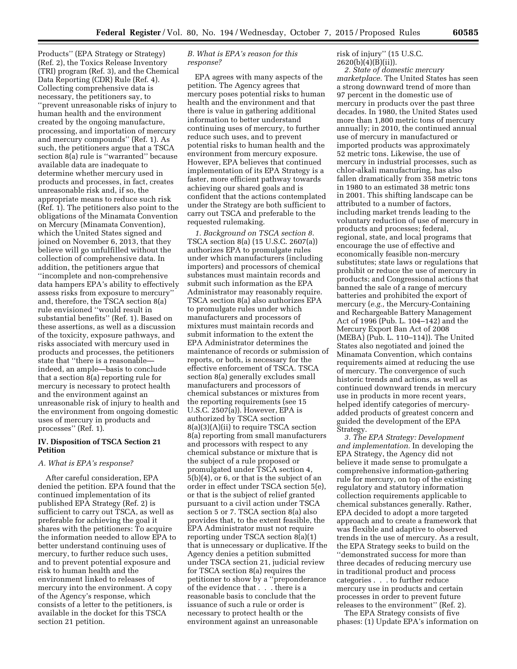Products'' (EPA Strategy or Strategy) (Ref. 2), the Toxics Release Inventory (TRI) program (Ref. 3), and the Chemical Data Reporting (CDR) Rule (Ref. 4). Collecting comprehensive data is necessary, the petitioners say, to ''prevent unreasonable risks of injury to human health and the environment created by the ongoing manufacture, processing, and importation of mercury and mercury compounds'' (Ref. 1). As such, the petitioners argue that a TSCA section 8(a) rule is "warranted" because available data are inadequate to determine whether mercury used in products and processes, in fact, creates unreasonable risk and, if so, the appropriate means to reduce such risk (Ref. 1). The petitioners also point to the obligations of the Minamata Convention on Mercury (Minamata Convention), which the United States signed and joined on November 6, 2013, that they believe will go unfulfilled without the collection of comprehensive data. In addition, the petitioners argue that ''incomplete and non-comprehensive data hampers EPA's ability to effectively assess risks from exposure to mercury'' and, therefore, the TSCA section 8(a) rule envisioned ''would result in substantial benefits'' (Ref. 1). Based on these assertions, as well as a discussion of the toxicity, exposure pathways, and risks associated with mercury used in products and processes, the petitioners state that ''there is a reasonable indeed, an ample—basis to conclude that a section 8(a) reporting rule for mercury is necessary to protect health and the environment against an unreasonable risk of injury to health and the environment from ongoing domestic uses of mercury in products and processes'' (Ref. 1).

## **IV. Disposition of TSCA Section 21 Petition**

#### *A. What is EPA's response?*

After careful consideration, EPA denied the petition. EPA found that the continued implementation of its published EPA Strategy (Ref. 2) is sufficient to carry out TSCA, as well as preferable for achieving the goal it shares with the petitioners: To acquire the information needed to allow EPA to better understand continuing uses of mercury, to further reduce such uses, and to prevent potential exposure and risk to human health and the environment linked to releases of mercury into the environment. A copy of the Agency's response, which consists of a letter to the petitioners, is available in the docket for this TSCA section 21 petition.

## *B. What is EPA's reason for this response?*

EPA agrees with many aspects of the petition. The Agency agrees that mercury poses potential risks to human health and the environment and that there is value in gathering additional information to better understand continuing uses of mercury, to further reduce such uses, and to prevent potential risks to human health and the environment from mercury exposure. However, EPA believes that continued implementation of its EPA Strategy is a faster, more efficient pathway towards achieving our shared goals and is confident that the actions contemplated under the Strategy are both sufficient to carry out TSCA and preferable to the requested rulemaking.

*1. Background on TSCA section 8.*  TSCA section 8(a) (15 U.S.C. 2607(a)) authorizes EPA to promulgate rules under which manufacturers (including importers) and processors of chemical substances must maintain records and submit such information as the EPA Administrator may reasonably require. TSCA section 8(a) also authorizes EPA to promulgate rules under which manufacturers and processors of mixtures must maintain records and submit information to the extent the EPA Administrator determines the maintenance of records or submission of reports, or both, is necessary for the effective enforcement of TSCA. TSCA section 8(a) generally excludes small manufacturers and processors of chemical substances or mixtures from the reporting requirements (see 15 U.S.C. 2507(a)). However, EPA is authorized by TSCA section 8(a)(3)(A)(ii) to require TSCA section 8(a) reporting from small manufacturers and processors with respect to any chemical substance or mixture that is the subject of a rule proposed or promulgated under TSCA section 4, 5(b)(4), or 6, or that is the subject of an order in effect under TSCA section 5(e), or that is the subject of relief granted pursuant to a civil action under TSCA section 5 or 7. TSCA section 8(a) also provides that, to the extent feasible, the EPA Administrator must not require reporting under TSCA section 8(a)(1) that is unnecessary or duplicative. If the Agency denies a petition submitted under TSCA section 21, judicial review for TSCA section 8(a) requires the petitioner to show by a ''preponderance of the evidence that . . . there is a reasonable basis to conclude that the issuance of such a rule or order is necessary to protect health or the environment against an unreasonable

### risk of injury'' (15 U.S.C. 2620(b)(4)(B)(ii)).

*2. State of domestic mercury marketplace.* The United States has seen a strong downward trend of more than 97 percent in the domestic use of mercury in products over the past three decades. In 1980, the United States used more than 1,800 metric tons of mercury annually; in 2010, the continued annual use of mercury in manufactured or imported products was approximately 52 metric tons. Likewise, the use of mercury in industrial processes, such as chlor-alkali manufacturing, has also fallen dramatically from 358 metric tons in 1980 to an estimated 38 metric tons in 2001. This shifting landscape can be attributed to a number of factors, including market trends leading to the voluntary reduction of use of mercury in products and processes; federal, regional, state, and local programs that encourage the use of effective and economically feasible non-mercury substitutes; state laws or regulations that prohibit or reduce the use of mercury in products; and Congressional actions that banned the sale of a range of mercury batteries and prohibited the export of mercury (*e.g.,* the Mercury-Containing and Rechargeable Battery Management Act of 1996 (Pub. L. 104–142) and the Mercury Export Ban Act of 2008 (MEBA) (Pub. L. 110–114)). The United States also negotiated and joined the Minamata Convention, which contains requirements aimed at reducing the use of mercury. The convergence of such historic trends and actions, as well as continued downward trends in mercury use in products in more recent years, helped identify categories of mercuryadded products of greatest concern and guided the development of the EPA Strategy.

*3. The EPA Strategy: Development and implementation.* In developing the EPA Strategy, the Agency did not believe it made sense to promulgate a comprehensive information-gathering rule for mercury, on top of the existing regulatory and statutory information collection requirements applicable to chemical substances generally. Rather, EPA decided to adopt a more targeted approach and to create a framework that was flexible and adaptive to observed trends in the use of mercury. As a result, the EPA Strategy seeks to build on the ''demonstrated success for more than three decades of reducing mercury use in traditional product and process categories . . . to further reduce mercury use in products and certain processes in order to prevent future releases to the environment'' (Ref. 2).

The EPA Strategy consists of five phases: (1) Update EPA's information on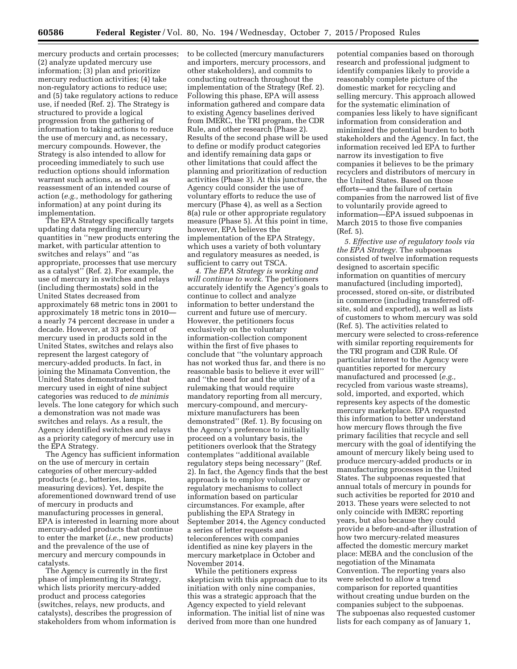mercury products and certain processes; (2) analyze updated mercury use information; (3) plan and prioritize mercury reduction activities; (4) take non-regulatory actions to reduce use; and (5) take regulatory actions to reduce use, if needed (Ref. 2). The Strategy is structured to provide a logical progression from the gathering of information to taking actions to reduce the use of mercury and, as necessary, mercury compounds. However, the Strategy is also intended to allow for proceeding immediately to such use reduction options should information warrant such actions, as well as reassessment of an intended course of action (*e.g.,* methodology for gathering information) at any point during its implementation.

The EPA Strategy specifically targets updating data regarding mercury quantities in ''new products entering the market, with particular attention to switches and relays'' and ''as appropriate, processes that use mercury as a catalyst'' (Ref. 2). For example, the use of mercury in switches and relays (including thermostats) sold in the United States decreased from approximately 68 metric tons in 2001 to approximately 18 metric tons in 2010 a nearly 74 percent decrease in under a decade. However, at 33 percent of mercury used in products sold in the United States, switches and relays also represent the largest category of mercury-added products. In fact, in joining the Minamata Convention, the United States demonstrated that mercury used in eight of nine subject categories was reduced to *de minimis*  levels. The lone category for which such a demonstration was not made was switches and relays. As a result, the Agency identified switches and relays as a priority category of mercury use in the EPA Strategy.

The Agency has sufficient information on the use of mercury in certain categories of other mercury-added products (*e.g.,* batteries, lamps, measuring devices). Yet, despite the aforementioned downward trend of use of mercury in products and manufacturing processes in general, EPA is interested in learning more about mercury-added products that continue to enter the market (*i.e.,* new products) and the prevalence of the use of mercury and mercury compounds in catalysts.

The Agency is currently in the first phase of implementing its Strategy, which lists priority mercury-added product and process categories (switches, relays, new products, and catalysts), describes the progression of stakeholders from whom information is to be collected (mercury manufacturers and importers, mercury processors, and other stakeholders), and commits to conducting outreach throughout the implementation of the Strategy (Ref. 2). Following this phase, EPA will assess information gathered and compare data to existing Agency baselines derived from IMERC, the TRI program, the CDR Rule, and other research (Phase 2). Results of the second phase will be used to define or modify product categories and identify remaining data gaps or other limitations that could affect the planning and prioritization of reduction activities (Phase 3). At this juncture, the Agency could consider the use of voluntary efforts to reduce the use of mercury (Phase 4), as well as a Section 8(a) rule or other appropriate regulatory measure (Phase 5). At this point in time, however, EPA believes the implementation of the EPA Strategy, which uses a variety of both voluntary and regulatory measures as needed, is sufficient to carry out TSCA.

*4. The EPA Strategy is working and will continue to work.* The petitioners accurately identify the Agency's goals to continue to collect and analyze information to better understand the current and future use of mercury. However, the petitioners focus exclusively on the voluntary information-collection component within the first of five phases to conclude that ''the voluntary approach has not worked thus far, and there is no reasonable basis to believe it ever will'' and ''the need for and the utility of a rulemaking that would require mandatory reporting from all mercury, mercury-compound, and mercurymixture manufacturers has been demonstrated'' (Ref. 1). By focusing on the Agency's preference to initially proceed on a voluntary basis, the petitioners overlook that the Strategy contemplates ''additional available regulatory steps being necessary'' (Ref. 2). In fact, the Agency finds that the best approach is to employ voluntary or regulatory mechanisms to collect information based on particular circumstances. For example, after publishing the EPA Strategy in September 2014, the Agency conducted a series of letter requests and teleconferences with companies identified as nine key players in the mercury marketplace in October and November 2014.

While the petitioners express skepticism with this approach due to its initiation with only nine companies, this was a strategic approach that the Agency expected to yield relevant information. The initial list of nine was derived from more than one hundred

potential companies based on thorough research and professional judgment to identify companies likely to provide a reasonably complete picture of the domestic market for recycling and selling mercury. This approach allowed for the systematic elimination of companies less likely to have significant information from consideration and minimized the potential burden to both stakeholders and the Agency. In fact, the information received led EPA to further narrow its investigation to five companies it believes to be the primary recyclers and distributors of mercury in the United States. Based on those efforts—and the failure of certain companies from the narrowed list of five to voluntarily provide agreed to information—EPA issued subpoenas in March 2015 to those five companies (Ref. 5).

*5. Effective use of regulatory tools via the EPA Strategy.* The subpoenas consisted of twelve information requests designed to ascertain specific information on quantities of mercury manufactured (including imported), processed, stored on-site, or distributed in commerce (including transferred offsite, sold and exported), as well as lists of customers to whom mercury was sold (Ref. 5). The activities related to mercury were selected to cross-reference with similar reporting requirements for the TRI program and CDR Rule. Of particular interest to the Agency were quantities reported for mercury manufactured and processed (*e.g.,*  recycled from various waste streams), sold, imported, and exported, which represents key aspects of the domestic mercury marketplace. EPA requested this information to better understand how mercury flows through the five primary facilities that recycle and sell mercury with the goal of identifying the amount of mercury likely being used to produce mercury-added products or in manufacturing processes in the United States. The subpoenas requested that annual totals of mercury in pounds for such activities be reported for 2010 and 2013. These years were selected to not only coincide with IMERC reporting years, but also because they could provide a before-and-after illustration of how two mercury-related measures affected the domestic mercury market place: MEBA and the conclusion of the negotiation of the Minamata Convention. The reporting years also were selected to allow a trend comparison for reported quantities without creating undue burden on the companies subject to the subpoenas. The subpoenas also requested customer lists for each company as of January 1,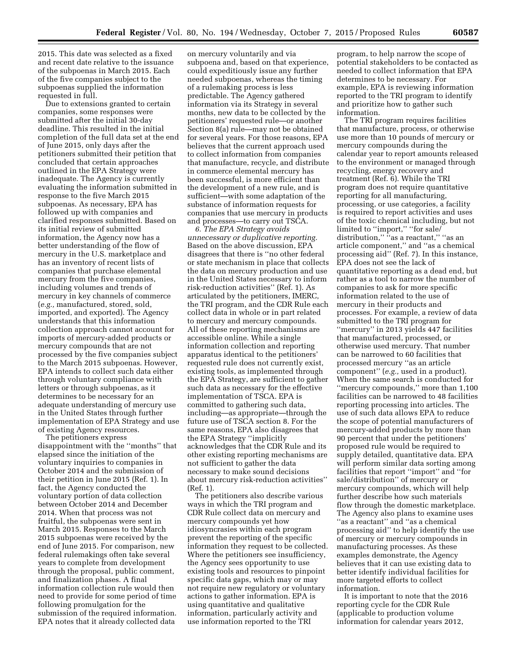2015. This date was selected as a fixed and recent date relative to the issuance of the subpoenas in March 2015. Each of the five companies subject to the subpoenas supplied the information requested in full.

Due to extensions granted to certain companies, some responses were submitted after the initial 30-day deadline. This resulted in the initial completion of the full data set at the end of June 2015, only days after the petitioners submitted their petition that concluded that certain approaches outlined in the EPA Strategy were inadequate. The Agency is currently evaluating the information submitted in response to the five March 2015 subpoenas. As necessary, EPA has followed up with companies and clarified responses submitted. Based on its initial review of submitted information, the Agency now has a better understanding of the flow of mercury in the U.S. marketplace and has an inventory of recent lists of companies that purchase elemental mercury from the five companies, including volumes and trends of mercury in key channels of commerce (*e.g.,* manufactured, stored, sold, imported, and exported). The Agency understands that this information collection approach cannot account for imports of mercury-added products or mercury compounds that are not processed by the five companies subject to the March 2015 subpoenas. However, EPA intends to collect such data either through voluntary compliance with letters or through subpoenas, as it determines to be necessary for an adequate understanding of mercury use in the United States through further implementation of EPA Strategy and use of existing Agency resources.

The petitioners express disappointment with the ''months'' that elapsed since the initiation of the voluntary inquiries to companies in October 2014 and the submission of their petition in June 2015 (Ref. 1). In fact, the Agency conducted the voluntary portion of data collection between October 2014 and December 2014. When that process was not fruitful, the subpoenas were sent in March 2015. Responses to the March 2015 subpoenas were received by the end of June 2015. For comparison, new federal rulemakings often take several years to complete from development through the proposal, public comment, and finalization phases. A final information collection rule would then need to provide for some period of time following promulgation for the submission of the required information. EPA notes that it already collected data

on mercury voluntarily and via subpoena and, based on that experience, could expeditiously issue any further needed subpoenas, whereas the timing of a rulemaking process is less predictable. The Agency gathered information via its Strategy in several months, new data to be collected by the petitioners' requested rule—or another Section 8(a) rule—may not be obtained for several years. For those reasons, EPA believes that the current approach used to collect information from companies that manufacture, recycle, and distribute in commerce elemental mercury has been successful, is more efficient than the development of a new rule, and is sufficient—with some adaptation of the substance of information requests for companies that use mercury in products and processes—to carry out TSCA.

*6. The EPA Strategy avoids unnecessary or duplicative reporting.*  Based on the above discussion, EPA disagrees that there is ''no other federal or state mechanism in place that collects the data on mercury production and use in the United States necessary to inform risk-reduction activities'' (Ref. 1). As articulated by the petitioners, IMERC, the TRI program, and the CDR Rule each collect data in whole or in part related to mercury and mercury compounds. All of these reporting mechanisms are accessible online. While a single information collection and reporting apparatus identical to the petitioners' requested rule does not currently exist, existing tools, as implemented through the EPA Strategy, are sufficient to gather such data as necessary for the effective implementation of TSCA. EPA is committed to gathering such data, including—as appropriate—through the future use of TSCA section 8. For the same reasons, EPA also disagrees that the EPA Strategy ''implicitly acknowledges that the CDR Rule and its other existing reporting mechanisms are not sufficient to gather the data necessary to make sound decisions about mercury risk-reduction activities'' (Ref. 1).

The petitioners also describe various ways in which the TRI program and CDR Rule collect data on mercury and mercury compounds yet how idiosyncrasies within each program prevent the reporting of the specific information they request to be collected. Where the petitioners see insufficiency, the Agency sees opportunity to use existing tools and resources to pinpoint specific data gaps, which may or may not require new regulatory or voluntary actions to gather information. EPA is using quantitative and qualitative information, particularly activity and use information reported to the TRI

program, to help narrow the scope of potential stakeholders to be contacted as needed to collect information that EPA determines to be necessary. For example, EPA is reviewing information reported to the TRI program to identify and prioritize how to gather such information.

The TRI program requires facilities that manufacture, process, or otherwise use more than 10 pounds of mercury or mercury compounds during the calendar year to report amounts released to the environment or managed through recycling, energy recovery and treatment (Ref. 6). While the TRI program does not require quantitative reporting for all manufacturing, processing, or use categories, a facility is required to report activities and uses of the toxic chemical including, but not limited to "import," "for sale/ distribution," "as a reactant," "as an article component,'' and ''as a chemical processing aid'' (Ref. 7). In this instance, EPA does not see the lack of quantitative reporting as a dead end, but rather as a tool to narrow the number of companies to ask for more specific information related to the use of mercury in their products and processes. For example, a review of data submitted to the TRI program for ''mercury'' in 2013 yields 447 facilities that manufactured, processed, or otherwise used mercury. That number can be narrowed to 60 facilities that processed mercury ''as an article component'' (*e.g.,* used in a product). When the same search is conducted for ''mercury compounds,'' more than 1,100 facilities can be narrowed to 48 facilities reporting processing into articles. The use of such data allows EPA to reduce the scope of potential manufacturers of mercury-added products by more than 90 percent that under the petitioners' proposed rule would be required to supply detailed, quantitative data. EPA will perform similar data sorting among facilities that report ''import'' and ''for sale/distribution'' of mercury or mercury compounds, which will help further describe how such materials flow through the domestic marketplace. The Agency also plans to examine uses ''as a reactant'' and ''as a chemical processing aid'' to help identify the use of mercury or mercury compounds in manufacturing processes. As these examples demonstrate, the Agency believes that it can use existing data to better identify individual facilities for more targeted efforts to collect information.

It is important to note that the 2016 reporting cycle for the CDR Rule (applicable to production volume information for calendar years 2012,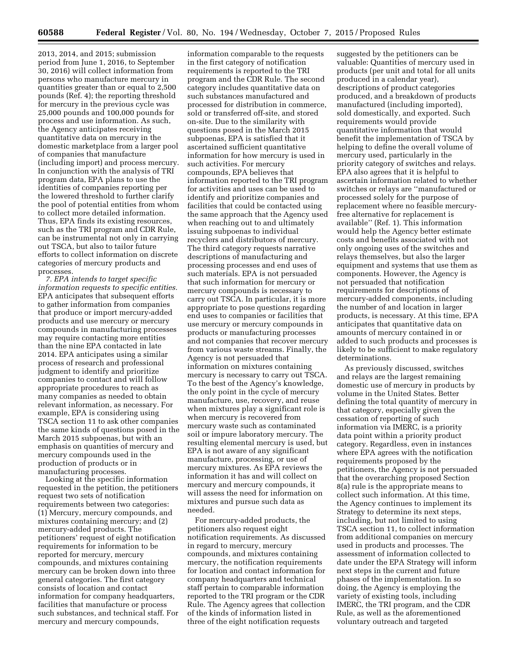2013, 2014, and 2015; submission period from June 1, 2016, to September 30, 2016) will collect information from persons who manufacture mercury in quantities greater than or equal to 2,500 pounds (Ref. 4); the reporting threshold for mercury in the previous cycle was 25,000 pounds and 100,000 pounds for process and use information. As such, the Agency anticipates receiving quantitative data on mercury in the domestic marketplace from a larger pool of companies that manufacture (including import) and process mercury. In conjunction with the analysis of TRI program data, EPA plans to use the identities of companies reporting per the lowered threshold to further clarify the pool of potential entities from whom to collect more detailed information. Thus, EPA finds its existing resources, such as the TRI program and CDR Rule, can be instrumental not only in carrying out TSCA, but also to tailor future efforts to collect information on discrete categories of mercury products and processes.

*7. EPA intends to target specific information requests to specific entities.*  EPA anticipates that subsequent efforts to gather information from companies that produce or import mercury-added products and use mercury or mercury compounds in manufacturing processes may require contacting more entities than the nine EPA contacted in late 2014. EPA anticipates using a similar process of research and professional judgment to identify and prioritize companies to contact and will follow appropriate procedures to reach as many companies as needed to obtain relevant information, as necessary. For example, EPA is considering using TSCA section 11 to ask other companies the same kinds of questions posed in the March 2015 subpoenas, but with an emphasis on quantities of mercury and mercury compounds used in the production of products or in manufacturing processes.

Looking at the specific information requested in the petition, the petitioners request two sets of notification requirements between two categories: (1) Mercury, mercury compounds, and mixtures containing mercury; and (2) mercury-added products. The petitioners' request of eight notification requirements for information to be reported for mercury, mercury compounds, and mixtures containing mercury can be broken down into three general categories. The first category consists of location and contact information for company headquarters, facilities that manufacture or process such substances, and technical staff. For mercury and mercury compounds,

information comparable to the requests in the first category of notification requirements is reported to the TRI program and the CDR Rule. The second category includes quantitative data on such substances manufactured and processed for distribution in commerce, sold or transferred off-site, and stored on-site. Due to the similarity with questions posed in the March 2015 subpoenas, EPA is satisfied that it ascertained sufficient quantitative information for how mercury is used in such activities. For mercury compounds, EPA believes that information reported to the TRI program for activities and uses can be used to identify and prioritize companies and facilities that could be contacted using the same approach that the Agency used when reaching out to and ultimately issuing subpoenas to individual recyclers and distributors of mercury. The third category requests narrative descriptions of manufacturing and processing processes and end uses of such materials. EPA is not persuaded that such information for mercury or mercury compounds is necessary to carry out TSCA. In particular, it is more appropriate to pose questions regarding end uses to companies or facilities that use mercury or mercury compounds in products or manufacturing processes and not companies that recover mercury from various waste streams. Finally, the Agency is not persuaded that information on mixtures containing mercury is necessary to carry out TSCA. To the best of the Agency's knowledge, the only point in the cycle of mercury manufacture, use, recovery, and reuse when mixtures play a significant role is when mercury is recovered from mercury waste such as contaminated soil or impure laboratory mercury. The resulting elemental mercury is used, but EPA is not aware of any significant manufacture, processing, or use of mercury mixtures. As EPA reviews the information it has and will collect on mercury and mercury compounds, it will assess the need for information on mixtures and pursue such data as needed.

For mercury-added products, the petitioners also request eight notification requirements. As discussed in regard to mercury, mercury compounds, and mixtures containing mercury, the notification requirements for location and contact information for company headquarters and technical staff pertain to comparable information reported to the TRI program or the CDR Rule. The Agency agrees that collection of the kinds of information listed in three of the eight notification requests

suggested by the petitioners can be valuable: Quantities of mercury used in products (per unit and total for all units produced in a calendar year), descriptions of product categories produced, and a breakdown of products manufactured (including imported), sold domestically, and exported. Such requirements would provide quantitative information that would benefit the implementation of TSCA by helping to define the overall volume of mercury used, particularly in the priority category of switches and relays. EPA also agrees that it is helpful to ascertain information related to whether switches or relays are ''manufactured or processed solely for the purpose of replacement where no feasible mercuryfree alternative for replacement is available'' (Ref. 1). This information would help the Agency better estimate costs and benefits associated with not only ongoing uses of the switches and relays themselves, but also the larger equipment and systems that use them as components. However, the Agency is not persuaded that notification requirements for descriptions of mercury-added components, including the number of and location in larger products, is necessary. At this time, EPA anticipates that quantitative data on amounts of mercury contained in or added to such products and processes is likely to be sufficient to make regulatory determinations.

As previously discussed, switches and relays are the largest remaining domestic use of mercury in products by volume in the United States. Better defining the total quantity of mercury in that category, especially given the cessation of reporting of such information via IMERC, is a priority data point within a priority product category. Regardless, even in instances where EPA agrees with the notification requirements proposed by the petitioners, the Agency is not persuaded that the overarching proposed Section 8(a) rule is the appropriate means to collect such information. At this time, the Agency continues to implement its Strategy to determine its next steps, including, but not limited to using TSCA section 11, to collect information from additional companies on mercury used in products and processes. The assessment of information collected to date under the EPA Strategy will inform next steps in the current and future phases of the implementation. In so doing, the Agency is employing the variety of existing tools, including IMERC, the TRI program, and the CDR Rule, as well as the aforementioned voluntary outreach and targeted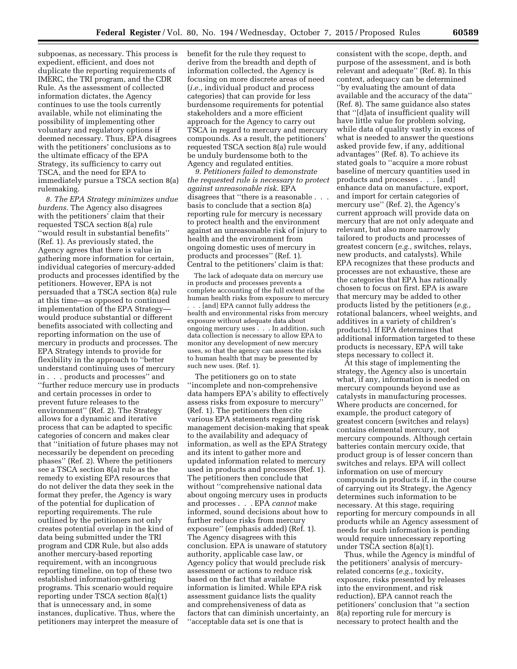subpoenas, as necessary. This process is expedient, efficient, and does not duplicate the reporting requirements of IMERC, the TRI program, and the CDR Rule. As the assessment of collected information dictates, the Agency continues to use the tools currently available, while not eliminating the possibility of implementing other voluntary and regulatory options if deemed necessary. Thus, EPA disagrees with the petitioners' conclusions as to the ultimate efficacy of the EPA Strategy, its sufficiency to carry out TSCA, and the need for EPA to immediately pursue a TSCA section 8(a) rulemaking.

*8. The EPA Strategy minimizes undue burdens.* The Agency also disagrees with the petitioners' claim that their requested TSCA section 8(a) rule ''would result in substantial benefits'' (Ref. 1). As previously stated, the Agency agrees that there is value in gathering more information for certain, individual categories of mercury-added products and processes identified by the petitioners. However, EPA is not persuaded that a TSCA section 8(a) rule at this time—as opposed to continued implementation of the EPA Strategy would produce substantial or different benefits associated with collecting and reporting information on the use of mercury in products and processes. The EPA Strategy intends to provide for flexibility in the approach to ''better understand continuing uses of mercury in . . . products and processes'' and ''further reduce mercury use in products and certain processes in order to prevent future releases to the environment'' (Ref. 2). The Strategy allows for a dynamic and iterative process that can be adapted to specific categories of concern and makes clear that ''initiation of future phases may not necessarily be dependent on preceding phases'' (Ref. 2). Where the petitioners see a TSCA section 8(a) rule as the remedy to existing EPA resources that do not deliver the data they seek in the format they prefer, the Agency is wary of the potential for duplication of reporting requirements. The rule outlined by the petitioners not only creates potential overlap in the kind of data being submitted under the TRI program and CDR Rule, but also adds another mercury-based reporting requirement, with an incongruous reporting timeline, on top of these two established information-gathering programs. This scenario would require reporting under TSCA section 8(a)(1) that is unnecessary and, in some instances, duplicative. Thus, where the petitioners may interpret the measure of

benefit for the rule they request to derive from the breadth and depth of information collected, the Agency is focusing on more discrete areas of need (*i.e.,* individual product and process categories) that can provide for less burdensome requirements for potential stakeholders and a more efficient approach for the Agency to carry out TSCA in regard to mercury and mercury compounds. As a result, the petitioners' requested TSCA section 8(a) rule would be unduly burdensome both to the Agency and regulated entities.

*9. Petitioners failed to demonstrate the requested rule is necessary to protect against unreasonable risk.* EPA disagrees that ''there is a reasonable . . . basis to conclude that a section 8(a) reporting rule for mercury is necessary to protect health and the environment against an unreasonable risk of injury to health and the environment from ongoing domestic uses of mercury in products and processes'' (Ref. 1). Central to the petitioners' claim is that:

The lack of adequate data on mercury use in products and processes prevents a complete accounting of the full extent of the human health risks from exposure to mercury . . . [and] EPA cannot fully address the health and environmental risks from mercury exposure without adequate data about ongoing mercury uses . . . In addition, such data collection is necessary to allow EPA to monitor any development of new mercury uses, so that the agency can assess the risks to human health that may be presented by such new uses. (Ref. 1).

The petitioners go on to state ''incomplete and non-comprehensive data hampers EPA's ability to effectively assess risks from exposure to mercury'' (Ref. 1). The petitioners then cite various EPA statements regarding risk management decision-making that speak to the availability and adequacy of information, as well as the EPA Strategy and its intent to gather more and updated information related to mercury used in products and processes (Ref. 1). The petitioners then conclude that without ''comprehensive national data about ongoing mercury uses in products and processes . . . EPA *cannot* make informed, sound decisions about how to further reduce risks from mercury exposure'' (emphasis added) (Ref. 1). The Agency disagrees with this conclusion. EPA is unaware of statutory authority, applicable case law, or Agency policy that would preclude risk assessment or actions to reduce risk based on the fact that available information is limited. While EPA risk assessment guidance lists the quality and comprehensiveness of data as factors that can diminish uncertainty, an ''acceptable data set is one that is

consistent with the scope, depth, and purpose of the assessment, and is both relevant and adequate'' (Ref. 8). In this context, adequacy can be determined ''by evaluating the amount of data available and the accuracy of the data'' (Ref. 8). The same guidance also states that ''[d]ata of insufficient quality will have little value for problem solving, while data of quality vastly in excess of what is needed to answer the questions asked provide few, if any, additional advantages'' (Ref. 8). To achieve its stated goals to ''acquire a more robust baseline of mercury quantities used in products and processes . . . [and] enhance data on manufacture, export, and import for certain categories of mercury use'' (Ref. 2), the Agency's current approach will provide data on mercury that are not only adequate and relevant, but also more narrowly tailored to products and processes of greatest concern (*e.g.,* switches, relays, new products, and catalysts). While EPA recognizes that these products and processes are not exhaustive, these are the categories that EPA has rationally chosen to focus on first. EPA is aware that mercury may be added to other products listed by the petitioners (*e.g.,*  rotational balancers, wheel weights, and additives in a variety of children's products). If EPA determines that additional information targeted to these products is necessary, EPA will take steps necessary to collect it.

At this stage of implementing the strategy, the Agency also is uncertain what, if any, information is needed on mercury compounds beyond use as catalysts in manufacturing processes. Where products are concerned, for example, the product category of greatest concern (switches and relays) contains elemental mercury, not mercury compounds. Although certain batteries contain mercury oxide, that product group is of lesser concern than switches and relays. EPA will collect information on use of mercury compounds in products if, in the course of carrying out its Strategy, the Agency determines such information to be necessary. At this stage, requiring reporting for mercury compounds in all products while an Agency assessment of needs for such information is pending would require unnecessary reporting under TSCA section 8(a)(1).

Thus, while the Agency is mindful of the petitioners' analysis of mercuryrelated concerns (*e.g.,* toxicity, exposure, risks presented by releases into the environment, and risk reduction), EPA cannot reach the petitioners' conclusion that ''a section 8(a) reporting rule for mercury is necessary to protect health and the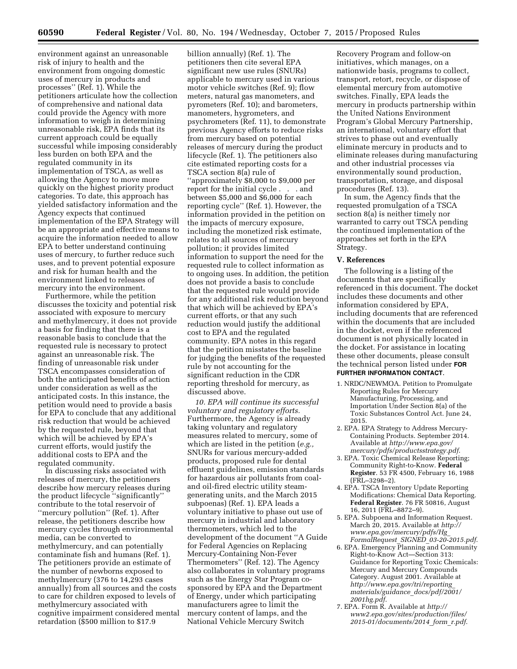environment against an unreasonable risk of injury to health and the environment from ongoing domestic uses of mercury in products and processes'' (Ref. 1). While the petitioners articulate how the collection of comprehensive and national data could provide the Agency with more information to weigh in determining unreasonable risk, EPA finds that its current approach could be equally successful while imposing considerably less burden on both EPA and the regulated community in its implementation of TSCA, as well as allowing the Agency to move more quickly on the highest priority product categories. To date, this approach has yielded satisfactory information and the Agency expects that continued implementation of the EPA Strategy will be an appropriate and effective means to acquire the information needed to allow EPA to better understand continuing uses of mercury, to further reduce such uses, and to prevent potential exposure and risk for human health and the environment linked to releases of mercury into the environment.

Furthermore, while the petition discusses the toxicity and potential risk associated with exposure to mercury and methylmercury, it does not provide a basis for finding that there is a reasonable basis to conclude that the requested rule is necessary to protect against an unreasonable risk. The finding of unreasonable risk under TSCA encompasses consideration of both the anticipated benefits of action under consideration as well as the anticipated costs. In this instance, the petition would need to provide a basis for EPA to conclude that any additional risk reduction that would be achieved by the requested rule, beyond that which will be achieved by EPA's current efforts, would justify the additional costs to EPA and the regulated community.

In discussing risks associated with releases of mercury, the petitioners describe how mercury releases during the product lifecycle ''significantly'' contribute to the total reservoir of ''mercury pollution'' (Ref. 1). After release, the petitioners describe how mercury cycles through environmental media, can be converted to methylmercury, and can potentially contaminate fish and humans (Ref. 1). The petitioners provide an estimate of the number of newborns exposed to methylmercury (376 to 14,293 cases annually) from all sources and the costs to care for children exposed to levels of methylmercury associated with cognitive impairment considered mental retardation (\$500 million to \$17.9

billion annually) (Ref. 1). The petitioners then cite several EPA significant new use rules (SNURs) applicable to mercury used in various motor vehicle switches (Ref. 9); flow meters, natural gas manometers, and pyrometers (Ref. 10); and barometers, manometers, hygrometers, and psychrometers (Ref. 11), to demonstrate previous Agency efforts to reduce risks from mercury based on potential releases of mercury during the product lifecycle (Ref. 1). The petitioners also cite estimated reporting costs for a TSCA section 8(a) rule of ''approximately \$8,000 to \$9,000 per report for the initial cycle . . . and between \$5,000 and \$6,000 for each reporting cycle'' (Ref. 1). However, the information provided in the petition on the impacts of mercury exposure, including the monetized risk estimate, relates to all sources of mercury pollution; it provides limited information to support the need for the requested rule to collect information as to ongoing uses. In addition, the petition does not provide a basis to conclude that the requested rule would provide for any additional risk reduction beyond that which will be achieved by EPA's current efforts, or that any such reduction would justify the additional cost to EPA and the regulated community. EPA notes in this regard that the petition misstates the baseline for judging the benefits of the requested rule by not accounting for the significant reduction in the CDR reporting threshold for mercury, as discussed above.

*10. EPA will continue its successful voluntary and regulatory efforts.*  Furthermore, the Agency is already taking voluntary and regulatory measures related to mercury, some of which are listed in the petition (*e.g.,*  SNURs for various mercury-added products, proposed rule for dental effluent guidelines, emission standards for hazardous air pollutants from coaland oil-fired electric utility steamgenerating units, and the March 2015 subpoenas) (Ref. 1). EPA leads a voluntary initiative to phase out use of mercury in industrial and laboratory thermometers, which led to the development of the document ''A Guide for Federal Agencies on Replacing Mercury-Containing Non-Fever Thermometers'' (Ref. 12). The Agency also collaborates in voluntary programs such as the Energy Star Program cosponsored by EPA and the Department of Energy, under which participating manufacturers agree to limit the mercury content of lamps, and the National Vehicle Mercury Switch

Recovery Program and follow-on initiatives, which manages, on a nationwide basis, programs to collect, transport, retort, recycle, or dispose of elemental mercury from automotive switches. Finally, EPA leads the mercury in products partnership within the United Nations Environment Program's Global Mercury Partnership, an international, voluntary effort that strives to phase out and eventually eliminate mercury in products and to eliminate releases during manufacturing and other industrial processes via environmentally sound production, transportation, storage, and disposal procedures (Ref. 13).

In sum, the Agency finds that the requested promulgation of a TSCA section 8(a) is neither timely nor warranted to carry out TSCA pending the continued implementation of the approaches set forth in the EPA Strategy.

## **V. References**

The following is a listing of the documents that are specifically referenced in this document. The docket includes these documents and other information considered by EPA, including documents that are referenced within the documents that are included in the docket, even if the referenced document is not physically located in the docket. For assistance in locating these other documents, please consult the technical person listed under **FOR FURTHER INFORMATION CONTACT**.

- 1. NRDC/NEWMOA. Petition to Promulgate Reporting Rules for Mercury Manufacturing, Processing, and Importation Under Section 8(a) of the Toxic Substances Control Act. June 24, 2015.
- 2. EPA. EPA Strategy to Address Mercury-Containing Products. September 2014. Available at *[http://www.epa.gov/](http://www.epa.gov/mercury/pdfs/productsstrategy.pdf) [mercury/pdfs/productsstrategy.pdf](http://www.epa.gov/mercury/pdfs/productsstrategy.pdf)*.
- 3. EPA. Toxic Chemical Release Reporting; Community Right-to-Know. **Federal Register**. 53 FR 4500, February 16, 1988 (FRL–3298–2).
- 4. EPA. TSCA Inventory Update Reporting Modifications: Chemical Data Reporting. **Federal Register**. 76 FR 50816, August 16, 2011 (FRL–8872–9).
- 5. EPA. Subpoena and Information Request. March 20, 2015. Available at *[http://](http://www.epa.gov/mercury/pdfs/Hg_FormalRequest_SIGNED_03-20-2015.pdf) [www.epa.gov/mercury/pdfs/Hg](http://www.epa.gov/mercury/pdfs/Hg_FormalRequest_SIGNED_03-20-2015.pdf)*\_ *FormalRequest*\_*SIGNED*\_*[03-20-2015.pdf](http://www.epa.gov/mercury/pdfs/Hg_FormalRequest_SIGNED_03-20-2015.pdf)*.
- 6. EPA. Emergency Planning and Community Right-to-Know Act—Section 313: Guidance for Reporting Toxic Chemicals: Mercury and Mercury Compounds Category. August 2001. Available at *[http://www.epa.gov/tri/reporting](http://www.epa.gov/tri/reporting_materials/guidance_docs/pdf/2001/2001hg.pdf)*\_ *[materials/guidance](http://www.epa.gov/tri/reporting_materials/guidance_docs/pdf/2001/2001hg.pdf)*\_*docs/pdf/2001/ [2001hg.pdf](http://www.epa.gov/tri/reporting_materials/guidance_docs/pdf/2001/2001hg.pdf)*.
- 7. EPA. Form R. Available at *[http://](http://www2.epa.gov/sites/production/files/2015-01/documents/2014_form_r.pdf) [www2.epa.gov/sites/production/files/](http://www2.epa.gov/sites/production/files/2015-01/documents/2014_form_r.pdf) [2015-01/documents/2014](http://www2.epa.gov/sites/production/files/2015-01/documents/2014_form_r.pdf)*\_*form*\_*r.pdf*.